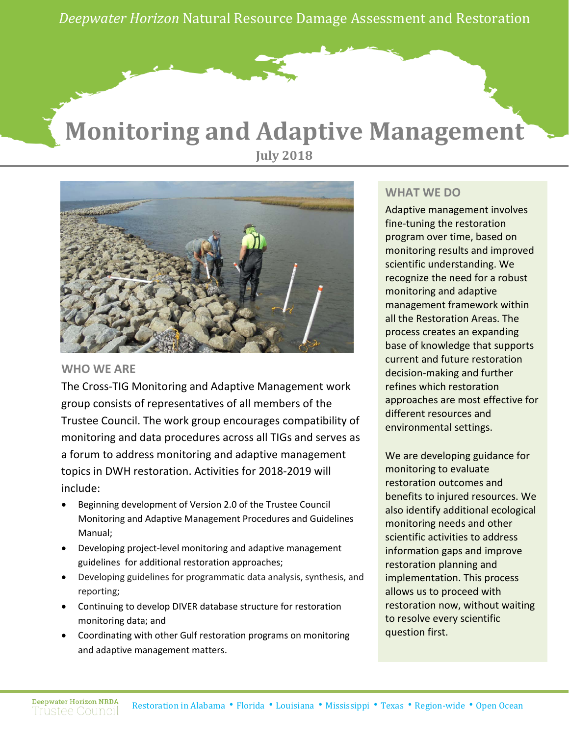*Deepwater Horizon* Natural Resource Damage Assessment and Restoration

# **Monitoring and Adaptive Management July 2018**



### **WHO WE ARE**

The Cross-TIG Monitoring and Adaptive Management work group consists of representatives of all members of the Trustee Council. The work group encourages compatibility of monitoring and data procedures across all TIGs and serves as a forum to address monitoring and adaptive management topics in DWH restoration. Activities for 2018-2019 will include:

- Beginning development of Version 2.0 of the Trustee Council Monitoring and Adaptive Management Procedures and Guidelines Manual;
- Developing project-level monitoring and adaptive management guidelines for additional restoration approaches;
- Developing guidelines for programmatic data analysis, synthesis, and reporting;
- Continuing to develop DIVER database structure for restoration monitoring data; and
- Coordinating with other Gulf restoration programs on monitoring and adaptive management matters.

### **WHAT WE DO**

Adaptive management involves fine-tuning the restoration program over time, based on monitoring results and improved scientific understanding. We recognize the need for a robust monitoring and adaptive management framework within all the Restoration Areas. The process creates an expanding base of knowledge that supports current and future restoration decision-making and further refines which restoration approaches are most effective for different resources and environmental settings.

We are developing guidance for monitoring to evaluate restoration outcomes and benefits to injured resources. We also identify additional ecological monitoring needs and other scientific activities to address information gaps and improve restoration planning and implementation. This process allows us to proceed with restoration now, without waiting to resolve every scientific question first.